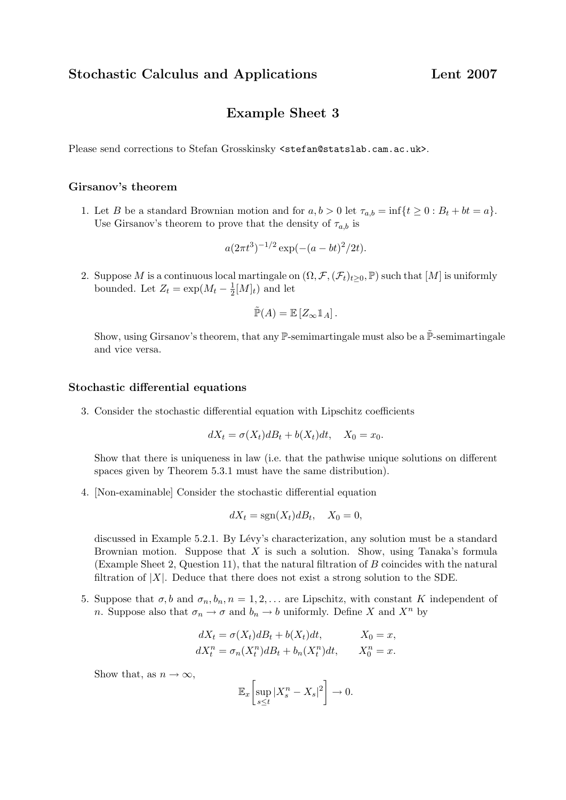Stochastic Calculus and Applications Lent 2007

## Example Sheet 3

Please send corrections to Stefan Grosskinsky <stefan@statslab.cam.ac.uk>.

## Girsanov's theorem

1. Let B be a standard Brownian motion and for  $a, b > 0$  let  $\tau_{a,b} = \inf\{t \geq 0 : B_t + bt = a\}.$ Use Girsanov's theorem to prove that the density of  $\tau_{a,b}$  is

$$
a(2\pi t^3)^{-1/2} \exp(-(a - bt)^2/2t).
$$

2. Suppose M is a continuous local martingale on  $(\Omega, \mathcal{F}, (\mathcal{F}_t)_{t\geq0}, \mathbb{P})$  such that  $[M]$  is uniformly bounded. Let  $Z_t = \exp(M_t - \frac{1}{2})$  $\frac{1}{2}[M]_t$  and let

$$
\tilde{\mathbb{P}}(A) = \mathbb{E}\left[Z_{\infty}1_A\right].
$$

Show, using Girsanov's theorem, that any  $\mathbb{P}\text{-semimartale}$  must also be a  $\tilde{\mathbb{P}}\text{-semimartale}$ and vice versa.

## Stochastic differential equations

3. Consider the stochastic differential equation with Lipschitz coefficients

$$
dX_t = \sigma(X_t)dB_t + b(X_t)dt, \quad X_0 = x_0.
$$

Show that there is uniqueness in law (i.e. that the pathwise unique solutions on different spaces given by Theorem 5.3.1 must have the same distribution).

4. [Non-examinable] Consider the stochastic differential equation

$$
dX_t = \text{sgn}(X_t)dB_t, \quad X_0 = 0,
$$

discussed in Example 5.2.1. By Lévy's characterization, any solution must be a standard Brownian motion. Suppose that  $X$  is such a solution. Show, using Tanaka's formula (Example Sheet 2, Question 11), that the natural filtration of B coincides with the natural filtration of  $|X|$ . Deduce that there does not exist a strong solution to the SDE.

5. Suppose that  $\sigma$ , b and  $\sigma_n$ ,  $b_n$ ,  $n = 1, 2, \ldots$  are Lipschitz, with constant K independent of n. Suppose also that  $\sigma_n \to \sigma$  and  $b_n \to b$  uniformly. Define X and X<sup>n</sup> by

$$
dX_t = \sigma(X_t)dB_t + b(X_t)dt, \t X_0 = x,
$$
  
\n
$$
dX_t^n = \sigma_n(X_t^n)dB_t + b_n(X_t^n)dt, \t X_0^n = x.
$$

Show that, as  $n \to \infty$ ,

$$
\mathbb{E}_x \left[ \sup_{s \le t} |X_s^n - X_s|^2 \right] \to 0.
$$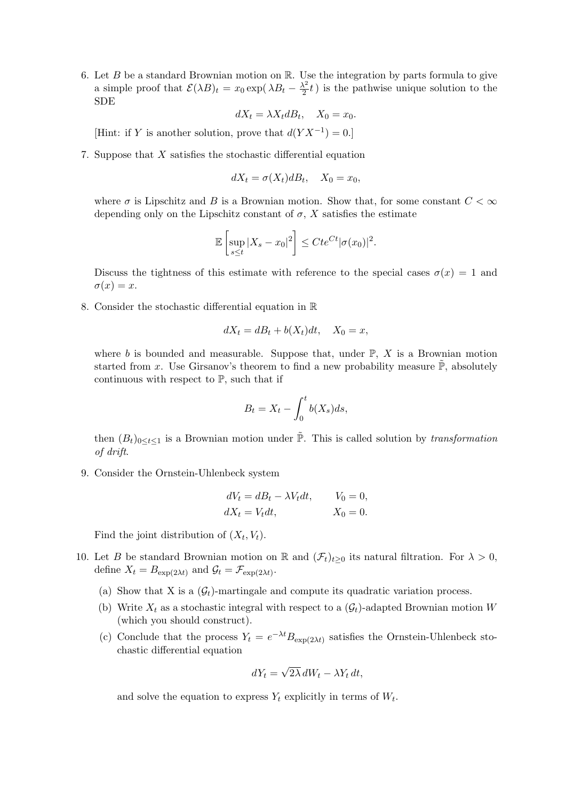6. Let B be a standard Brownian motion on  $\mathbb{R}$ . Use the integration by parts formula to give a simple proof that  $\mathcal{E}(\lambda B)_t = x_0 \exp(\lambda B_t - \frac{\lambda^2}{2})$  $\frac{\lambda^2}{2}t$ ) is the pathwise unique solution to the SDE

$$
dX_t = \lambda X_t dB_t, \quad X_0 = x_0.
$$

[Hint: if Y is another solution, prove that  $d(YX^{-1}) = 0$ .]

7. Suppose that X satisfies the stochastic differential equation

$$
dX_t = \sigma(X_t)dB_t, \quad X_0 = x_0,
$$

where  $\sigma$  is Lipschitz and B is a Brownian motion. Show that, for some constant  $C < \infty$ depending only on the Lipschitz constant of  $\sigma$ , X satisfies the estimate

$$
\mathbb{E}\left[\sup_{s\leq t}|X_s-x_0|^2\right]\leq Cte^{Ct}|\sigma(x_0)|^2.
$$

Discuss the tightness of this estimate with reference to the special cases  $\sigma(x) = 1$  and  $\sigma(x) = x.$ 

8. Consider the stochastic differential equation in R

$$
dX_t = dB_t + b(X_t)dt, \quad X_0 = x,
$$

where b is bounded and measurable. Suppose that, under  $\mathbb{P}, X$  is a Brownian motion started from x. Use Girsanov's theorem to find a new probability measure  $\tilde{\mathbb{P}}$ , absolutely continuous with respect to  $\mathbb{P}$ , such that if

$$
B_t = X_t - \int_0^t b(X_s)ds,
$$

then  $(B_t)_{0 \le t \le 1}$  is a Brownian motion under  $\tilde{\mathbb{P}}$ . This is called solution by transformation of drift.

9. Consider the Ornstein-Uhlenbeck system

$$
dV_t = dB_t - \lambda V_t dt, \t V_0 = 0,
$$
  

$$
dX_t = V_t dt, \t X_0 = 0.
$$

Find the joint distribution of  $(X_t, V_t)$ .

- 10. Let B be standard Brownian motion on R and  $(\mathcal{F}_t)_{t>0}$  its natural filtration. For  $\lambda > 0$ , define  $X_t = B_{\exp(2\lambda t)}$  and  $\mathcal{G}_t = \mathcal{F}_{\exp(2\lambda t)}$ .
	- (a) Show that X is a  $(\mathcal{G}_t)$ -martingale and compute its quadratic variation process.
	- (b) Write  $X_t$  as a stochastic integral with respect to a  $(\mathcal{G}_t)$ -adapted Brownian motion W (which you should construct).
	- (c) Conclude that the process  $Y_t = e^{-\lambda t} B_{\exp(2\lambda t)}$  satisfies the Ornstein-Uhlenbeck stochastic differential equation

$$
dY_t = \sqrt{2\lambda} \, dW_t - \lambda Y_t \, dt,
$$

and solve the equation to express  $Y_t$  explicitly in terms of  $W_t$ .